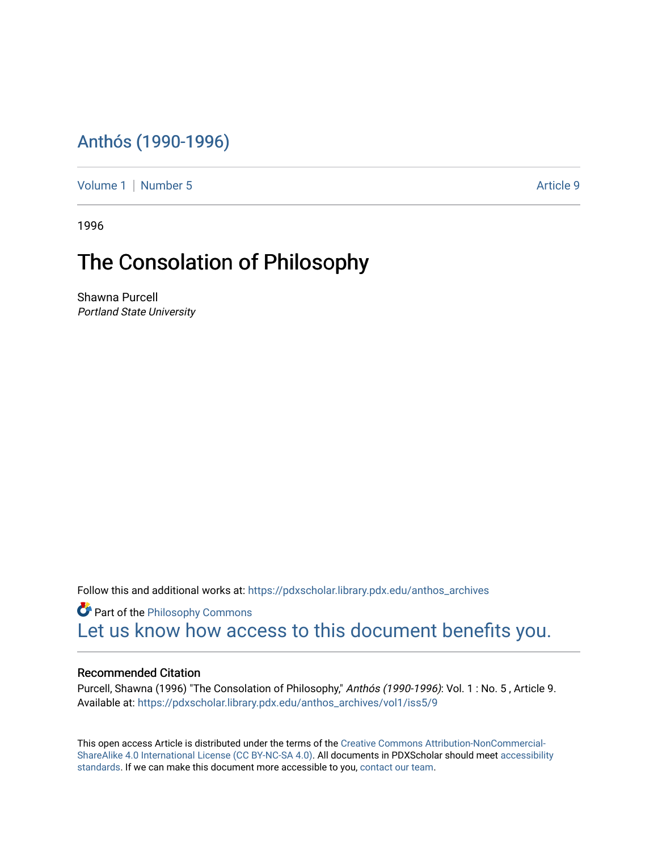## [Anthós \(1990-1996\)](https://pdxscholar.library.pdx.edu/anthos_archives)

[Volume 1](https://pdxscholar.library.pdx.edu/anthos_archives/vol1) | [Number 5](https://pdxscholar.library.pdx.edu/anthos_archives/vol1/iss5) Article 9

1996

## The Consolation of Philosophy

Shawna Purcell Portland State University

Follow this and additional works at: [https://pdxscholar.library.pdx.edu/anthos\\_archives](https://pdxscholar.library.pdx.edu/anthos_archives?utm_source=pdxscholar.library.pdx.edu%2Fanthos_archives%2Fvol1%2Fiss5%2F9&utm_medium=PDF&utm_campaign=PDFCoverPages)

**P** Part of the Philosophy Commons [Let us know how access to this document benefits you.](http://library.pdx.edu/services/pdxscholar-services/pdxscholar-feedback/) 

## Recommended Citation

Purcell, Shawna (1996) "The Consolation of Philosophy," Anthós (1990-1996): Vol. 1 : No. 5 , Article 9. Available at: [https://pdxscholar.library.pdx.edu/anthos\\_archives/vol1/iss5/9](https://pdxscholar.library.pdx.edu/anthos_archives/vol1/iss5/9?utm_source=pdxscholar.library.pdx.edu%2Fanthos_archives%2Fvol1%2Fiss5%2F9&utm_medium=PDF&utm_campaign=PDFCoverPages) 

This open access Article is distributed under the terms of the [Creative Commons Attribution-NonCommercial-](https://creativecommons.org/licenses/by-nc-sa/4.0/)[ShareAlike 4.0 International License \(CC BY-NC-SA 4.0\).](https://creativecommons.org/licenses/by-nc-sa/4.0/) All documents in PDXScholar should meet [accessibility](https://pdxscholar.library.pdx.edu/accessibility.html) [standards](https://pdxscholar.library.pdx.edu/accessibility.html). If we can make this document more accessible to you, [contact our team.](mailto:pdxscholar@pdx.edu)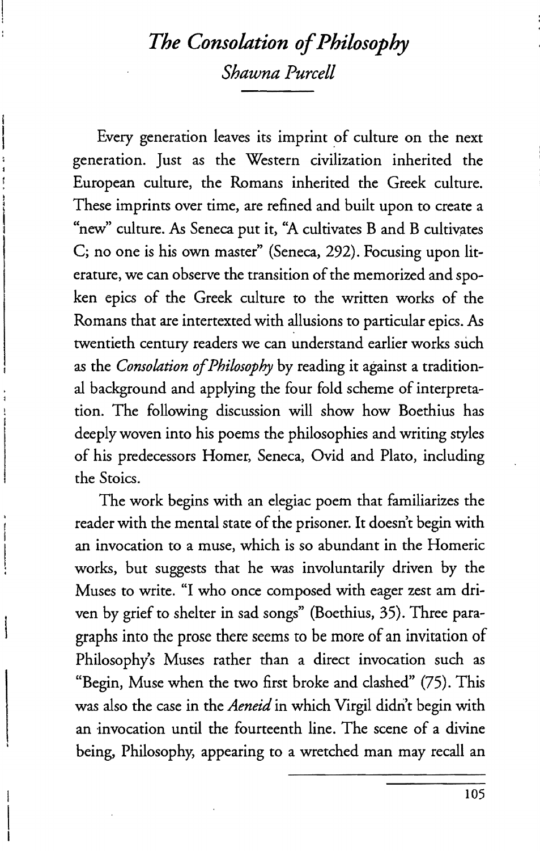## *The Consolation of Philosophy Shawna Purcell*

Every generation leaves its imprint of culture on the next generation. Just as the Western civilization inherited the European culture, the Romans inherited the Greek culture. These imprints over time, are refined and built upon to create a "new" culture. As Seneca put it, "A cultivates B and B cultivates C; no one is his own master" (Seneca, 292). Focusing upon literature, we can observe the transition of the memorized and spoken epics of the Greek culture to the written works of the Romans that are intertexted with allusions to particular epics. As twentieth century readers we can understand earlier works such as the *Consolation of Philosophy* by reading it against a traditional background and applying the four fold scheme of interpretation. The following discussion will show how Boethius has deeply woven into his poems the philosophies and writing styles of his predecessors Homer, Seneca, Ovid and Plato, including the Stoics.

The work begins with an elegiac poem that familiarizes the reader with the mental state of the prisoner. It doesn't begin with an invocation to a muse, which is so abundant in the Homeric works, but suggests that he was involuntarily driven by the Muses to write. "1 who once composed with eager zest am driven by grief to shelter in sad songs" (Boethius, 35). Three paragraphs into the prose there seems to be more of an invitation of Philosophy's Muses rather than a direct invocation such as "Begin, Muse when the two first broke and clashed" (75). This was also the case in the *Aeneid* in which Virgil didn't begin with an invocation until the fourteenth line. The scene of a divine being, Philosophy, appearing to a wretched man may recall an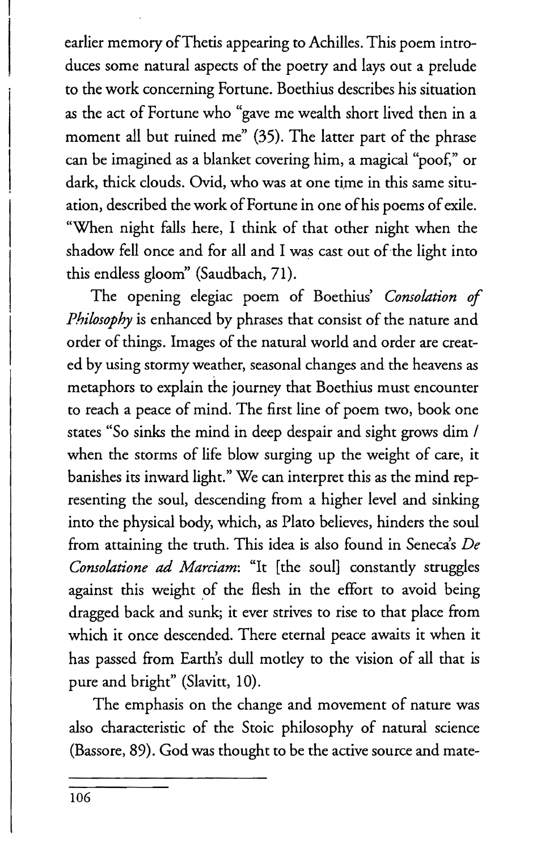earlier memory of Thetis appearing to Achilles. This poem introduces some natural aspects of the poetry and lays out a prelude to the work concerning Fortune. Boethius describes his situation as the act of Fortune who "gave me wealth short lived then in a moment all but ruined me" (35). The latter part of the phrase can be imagined as a blanket covering him, a magical "poof," or dark, thick clouds. Ovid, who was at one time in this same situation, described the work of Fortune in one of his poems of exile. "When night falls here, I think of that other night when the shadow fell once and for all and I was cast out of the light into this endless gloom" (Saudbach, 71).

The opening elegiac poem of Boethius' *Consolation of Philosophy* is enhanced by phrases that consist of the nature and order of things. Images of the natural world and order are created by using stormy weather, seasonal changes and the heavens as metaphors to explain the journey that Boethius must encounter to reach a peace of mind. The first line of poem two, book one states "So sinks the mind in deep despair and sight grows dim I when the storms of life blow surging up the weight of care, it banishes its inward light." We can interpret this as the mind representing the soul, descending from a higher level and sinking into the physical body, which, as Plato believes, hinders the soul from attaining the truth. This idea is also found in Seneca's De *Consolatione* ad *Marciam:* "It [the soul] constantly struggles against this weight of the flesh in the effort to avoid being dragged back and sunk; it ever strives to rise to that place from which it once descended. There eternal peace awaits it when it has passed from Earth's dull motley to the vision of all that is pure and bright" (Slavitt, 10).

The emphasis on the change and movement of nature was also characteristic of the Stoic philosophy of natural science (Bassore, 89). God was thought to be the active source and mate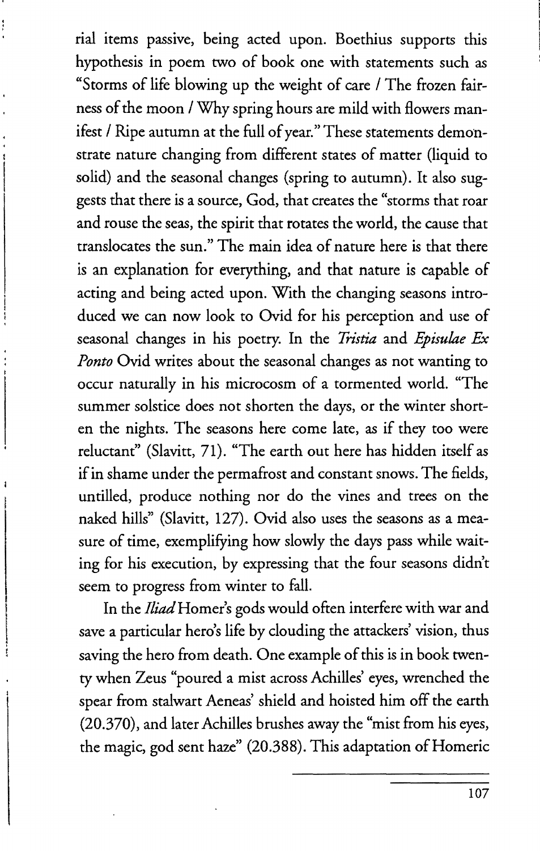rial items passive, being acted upon. Boethius supports this hypothesis in poem two of book one with statements such as "Storms of life blowing up the weight of care / The frozen fairness of the moon / Why spring hours are mild with flowers manifest / Ripe autumn at the full of year." These statements demonstrate nature changing from different states of matter (liquid to solid) and the seasonal changes (spring to autumn). It also suggests that there is a source, God, that creates the "storms that roar and rouse the seas, the spirit that rotates the world, the cause that translocates the sun." The main idea of nature here is that there is an explanation for everything, and that nature is capable of acting and being acted upon. With the changing seasons introduced we can now look to Ovid for his perception and use of seasonal changes in his poetry. In the *Tristia* and *Episulae Ex Ponto* Ovid writes about the seasonal changes as not wanting to occur naturally in his microcosm of a tormented world. "The summer solstice does not shorten the days, or the winter shorten the nights. The seasons here come late, as if they too were reluctant" (Slavitt, 71). "The earth out here has hidden itself as if in shame under the permafrost and constant snows. The fields, untilled, produce nothing nor do the vines and trees on the naked hills" (Slavitt, 127). Ovid also uses the seasons as a measure of time, exemplifying how slowly the days pass while waiting for his execution, by expressing that the four seasons didn't seem to progress from winter to fall.

In the *Iliad* Homer's gods would often interfere with war and save a particular hero's life by clouding the attackers' vision, thus saving the hero from death. One example of this is in book twenty when Zeus "poured a mist across Achilles' eyes, wrenched the spear from stalwart Aeneas' shield and hoisted him off the earth (20.370), and later Achilles brushes away the "mist from his eyes, the magic, god sent haze" (20.388). This adaptation of Homeric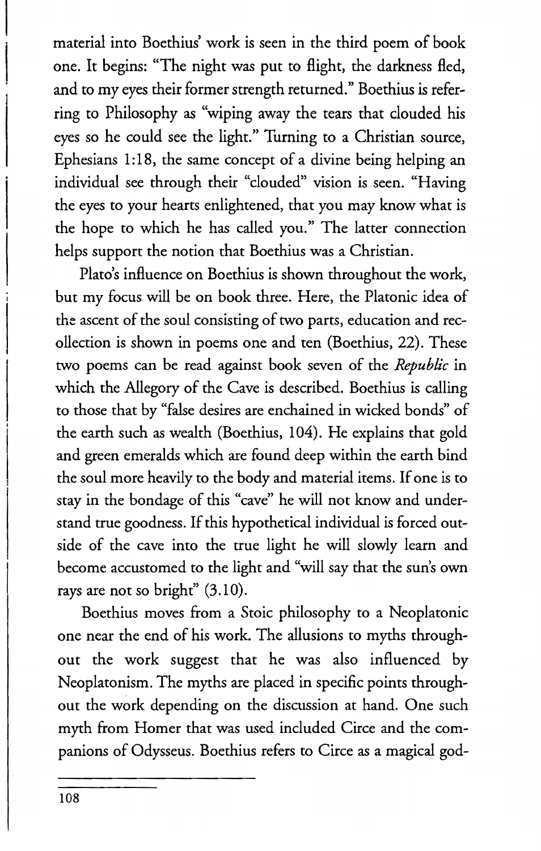material into Boethius' work is seen in the third poem of book one. It begins: "The night was put to flight, the darkness fled, and to my eyes their former strength returned." Boethius is referring to Philosophy as "wiping away the tears that clouded his eyes so he could see the light." Turning to a Christian source, Ephesians 1:18, the same concept of a divine being helping an individual see through their "clouded" vision is seen. "Having the eyes to your hearts enlightened, that you may know what is the hope to which he has called you." The latter connection helps support the notion that Boethius was a Christian.

Plato's influence on Boethius is shown throughout the work, but my focus will be on book three. Here, the Platonic idea of the ascent of the soul consisting of two parts, education and recollection is shown in poems one and ten (Boethius, 22). These two poems can be read against book seven of the *Republic* in which the Allegory of the Cave is described. Boethius is calling to those that by "false desires are enchained in wicked bonds" of the earth such as wealth (Boethius, 104). He explains that gold and green emeralds which are found deep within the earth bind the soul more heavily to the body and material items. If one is to stay in the bondage of this "cave" he will not know and understand true goodness. If this hypothetical individual is forced outside of the cave into the true light he will slowly learn and become accustomed to the light and "will say that the sun's own rays are not so bright" (3.10).

Boethius moves from a Stoic philosophy to a Neoplatonic one near the end of his work. The allusions to myths throughout the work suggest that he was also influenced by Neoplatonism. The myths are placed in specific points throughout the work depending on the discussion at hand. One such myth from Homer that was used included Circe and the companions of Odysseus. Boethius refers to Circe as a magical god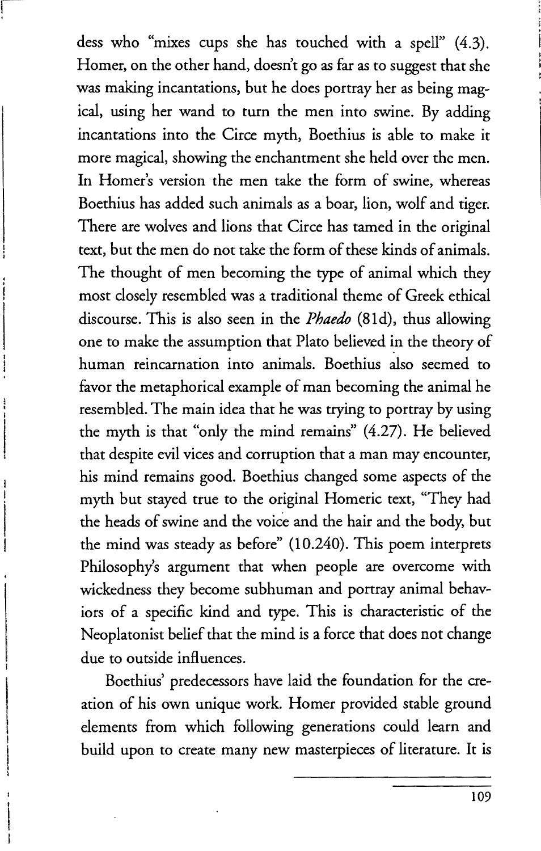dess who "mixes cups she has touched with a spell" (4.3). Homer, on the other hand, doesn't go as far as to suggest that she was making incantations, but he does portray her as being magical, using her wand to turn the men into swine. By adding incantations into the Circe myth, Boethius is able to make it more magical, showing the enchantment she held over the men. In Homer's version the men take the form of swine, whereas Boethius has added such animals as a boar, lion, wolf and tiger. There are wolves and lions that Circe has tamed in the original text, but the men do not take the form of these kinds of animals. The thought of men becoming the type of animal which they most closely resembled was a traditional theme of Greek ethical discourse. This is also seen in the *Phaedo* (BId), thus allowing one to make the assumption that Plato believed in the theory of human reincarnation into animals. Boethius also seemed to favor the metaphorical example of man becoming the animal he resembled. The main idea that he was trying to portray by using the myth is that "only the mind remains" (4.27). He believed that despite evil vices and corruption that a man may encounter, his mind remains good. Boethius changed some aspects of the myth but stayed true to the original Homeric text, "They had the heads of swine and the voice and the hair and the body; but the mind was steady as before" (10.240). This poem interprets Philosophy's argument that when people are overcome with wickedness they become subhuman and portray animal behaviors of a specific kind and type. This is characteristic of the Neoplatonist belief that the mind is a force that does not change due to outside influences.

Boethius' predecessors have laid the foundation for the creation of his own unique work. Homer provided stable ground elements from which following generations could learn and build upon to create many new masterpieces of literature. It is